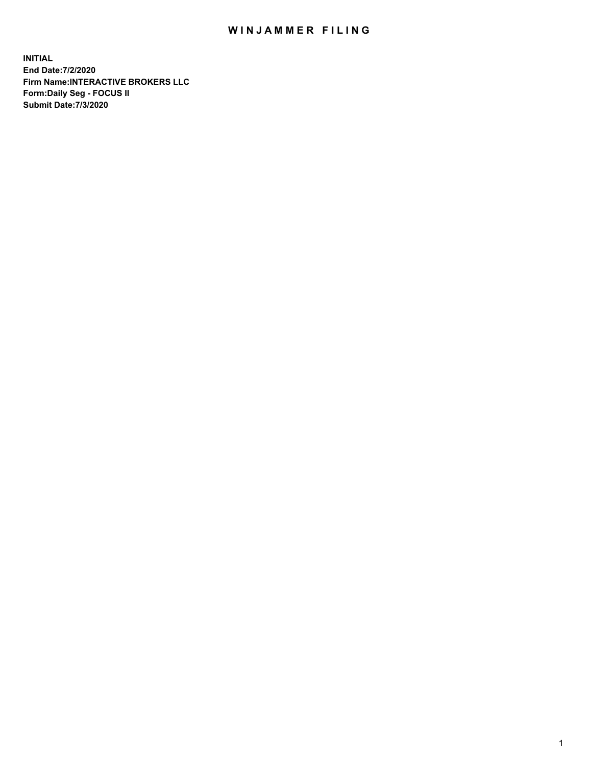## WIN JAMMER FILING

**INITIAL End Date:7/2/2020 Firm Name:INTERACTIVE BROKERS LLC Form:Daily Seg - FOCUS II Submit Date:7/3/2020**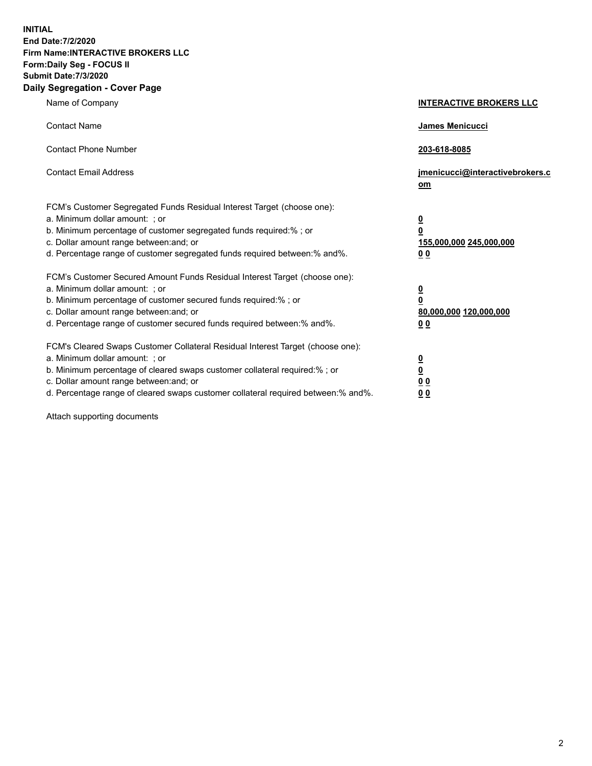**INITIAL End Date:7/2/2020 Firm Name:INTERACTIVE BROKERS LLC Form:Daily Seg - FOCUS II Submit Date:7/3/2020 Daily Segregation - Cover Page**

| Name of Company                                                                                                                                                                                                                                                                                                                | <b>INTERACTIVE BROKERS LLC</b>                                                                 |
|--------------------------------------------------------------------------------------------------------------------------------------------------------------------------------------------------------------------------------------------------------------------------------------------------------------------------------|------------------------------------------------------------------------------------------------|
| <b>Contact Name</b>                                                                                                                                                                                                                                                                                                            | James Menicucci                                                                                |
| <b>Contact Phone Number</b>                                                                                                                                                                                                                                                                                                    | 203-618-8085                                                                                   |
| <b>Contact Email Address</b>                                                                                                                                                                                                                                                                                                   | jmenicucci@interactivebrokers.c<br>om                                                          |
| FCM's Customer Segregated Funds Residual Interest Target (choose one):<br>a. Minimum dollar amount: ; or<br>b. Minimum percentage of customer segregated funds required:% ; or<br>c. Dollar amount range between: and; or<br>d. Percentage range of customer segregated funds required between:% and%.                         | $\overline{\mathbf{0}}$<br>$\overline{\mathbf{0}}$<br>155,000,000 245,000,000<br><u>00</u>     |
| FCM's Customer Secured Amount Funds Residual Interest Target (choose one):<br>a. Minimum dollar amount: ; or<br>b. Minimum percentage of customer secured funds required:%; or<br>c. Dollar amount range between: and; or<br>d. Percentage range of customer secured funds required between: % and %.                          | $\overline{\mathbf{0}}$<br>$\overline{\mathbf{0}}$<br>80,000,000 120,000,000<br>0 <sub>0</sub> |
| FCM's Cleared Swaps Customer Collateral Residual Interest Target (choose one):<br>a. Minimum dollar amount: ; or<br>b. Minimum percentage of cleared swaps customer collateral required:% ; or<br>c. Dollar amount range between: and; or<br>d. Percentage range of cleared swaps customer collateral required between:% and%. | $\overline{\mathbf{0}}$<br>$\overline{\mathbf{0}}$<br>0 <sub>0</sub><br>0 <sub>0</sub>         |

Attach supporting documents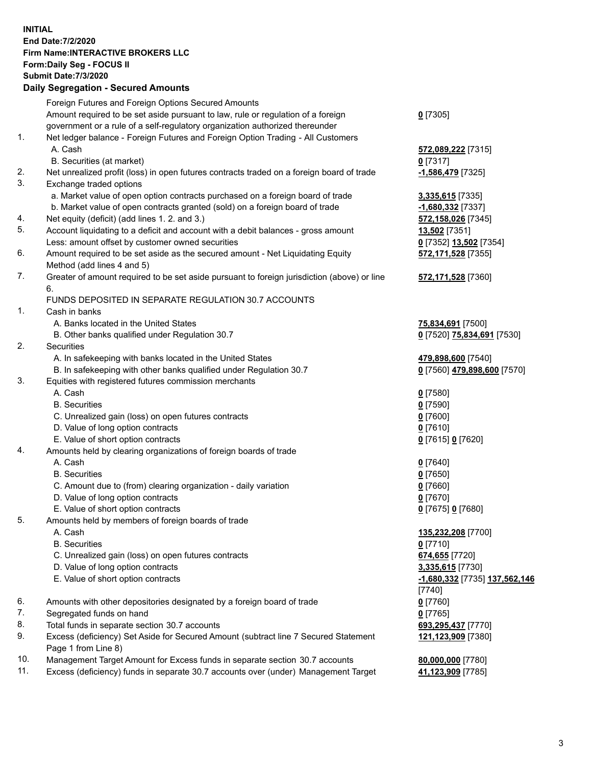**INITIAL End Date:7/2/2020 Firm Name:INTERACTIVE BROKERS LLC Form:Daily Seg - FOCUS II Submit Date:7/3/2020 Daily Segregation - Secured Amounts**

|     | Daily Segregation - Secured Amounts                                                         |                               |
|-----|---------------------------------------------------------------------------------------------|-------------------------------|
|     | Foreign Futures and Foreign Options Secured Amounts                                         |                               |
|     | Amount required to be set aside pursuant to law, rule or regulation of a foreign            | $0$ [7305]                    |
|     | government or a rule of a self-regulatory organization authorized thereunder                |                               |
| 1.  | Net ledger balance - Foreign Futures and Foreign Option Trading - All Customers             |                               |
|     | A. Cash                                                                                     | 572,089,222 [7315]            |
|     | B. Securities (at market)                                                                   | $0$ [7317]                    |
| 2.  | Net unrealized profit (loss) in open futures contracts traded on a foreign board of trade   | -1,586,479 [7325]             |
| 3.  | Exchange traded options                                                                     |                               |
|     | a. Market value of open option contracts purchased on a foreign board of trade              | 3,335,615 [7335]              |
|     | b. Market value of open contracts granted (sold) on a foreign board of trade                | -1,680,332 [7337]             |
| 4.  | Net equity (deficit) (add lines 1. 2. and 3.)                                               | 572,158,026 [7345]            |
| 5.  | Account liquidating to a deficit and account with a debit balances - gross amount           | 13,502 [7351]                 |
|     | Less: amount offset by customer owned securities                                            | 0 [7352] 13,502 [7354]        |
| 6.  | Amount required to be set aside as the secured amount - Net Liquidating Equity              | 572,171,528 [7355]            |
|     | Method (add lines 4 and 5)                                                                  |                               |
| 7.  | Greater of amount required to be set aside pursuant to foreign jurisdiction (above) or line | 572,171,528 [7360]            |
|     | 6.                                                                                          |                               |
|     | FUNDS DEPOSITED IN SEPARATE REGULATION 30.7 ACCOUNTS                                        |                               |
| 1.  | Cash in banks                                                                               |                               |
|     | A. Banks located in the United States                                                       | 75,834,691 [7500]             |
|     | B. Other banks qualified under Regulation 30.7                                              | 0 [7520] 75,834,691 [7530]    |
| 2.  | <b>Securities</b>                                                                           |                               |
|     | A. In safekeeping with banks located in the United States                                   | 479,898,600 [7540]            |
|     | B. In safekeeping with other banks qualified under Regulation 30.7                          | 0 [7560] 479,898,600 [7570]   |
| 3.  | Equities with registered futures commission merchants                                       |                               |
|     | A. Cash                                                                                     | $0$ [7580]                    |
|     | <b>B.</b> Securities                                                                        | $0$ [7590]                    |
|     | C. Unrealized gain (loss) on open futures contracts                                         | $0$ [7600]                    |
|     | D. Value of long option contracts                                                           | $0$ [7610]                    |
|     | E. Value of short option contracts                                                          | 0 [7615] 0 [7620]             |
| 4.  | Amounts held by clearing organizations of foreign boards of trade                           |                               |
|     | A. Cash                                                                                     | $0$ [7640]                    |
|     | <b>B.</b> Securities                                                                        | $0$ [7650]                    |
|     | C. Amount due to (from) clearing organization - daily variation                             | $0$ [7660]                    |
|     | D. Value of long option contracts                                                           | $0$ [7670]                    |
|     | E. Value of short option contracts                                                          | 0 [7675] 0 [7680]             |
| 5.  | Amounts held by members of foreign boards of trade                                          |                               |
|     | A. Cash                                                                                     | 135,232,208 [7700]            |
|     | <b>B.</b> Securities                                                                        | $0$ [7710]                    |
|     | C. Unrealized gain (loss) on open futures contracts                                         | 674,655 [7720]                |
|     | D. Value of long option contracts                                                           | 3,335,615 [7730]              |
|     | E. Value of short option contracts                                                          | -1,680,332 [7735] 137,562,146 |
|     |                                                                                             | [7740]                        |
| 6.  | Amounts with other depositories designated by a foreign board of trade                      | $0$ [7760]                    |
| 7.  | Segregated funds on hand                                                                    | $0$ [7765]                    |
| 8.  | Total funds in separate section 30.7 accounts                                               | 693,295,437 [7770]            |
| 9.  | Excess (deficiency) Set Aside for Secured Amount (subtract line 7 Secured Statement         | 121,123,909 [7380]            |
|     | Page 1 from Line 8)                                                                         |                               |
| 10. | Management Target Amount for Excess funds in separate section 30.7 accounts                 | 80,000,000 [7780]             |
| 11. | Excess (deficiency) funds in separate 30.7 accounts over (under) Management Target          | 41,123,909 [7785]             |
|     |                                                                                             |                               |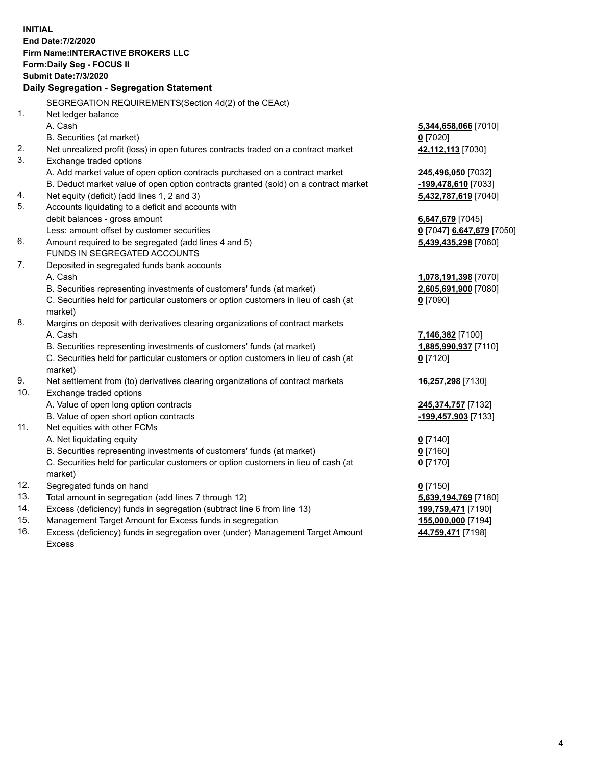**INITIAL End Date:7/2/2020 Firm Name:INTERACTIVE BROKERS LLC Form:Daily Seg - FOCUS II Submit Date:7/3/2020 Daily Segregation - Segregation Statement** SEGREGATION REQUIREMENTS(Section 4d(2) of the CEAct) 1. Net ledger balance A. Cash **5,344,658,066** [7010] B. Securities (at market) **0** [7020] 2. Net unrealized profit (loss) in open futures contracts traded on a contract market **42,112,113** [7030] 3. Exchange traded options A. Add market value of open option contracts purchased on a contract market **245,496,050** [7032] B. Deduct market value of open option contracts granted (sold) on a contract market **-199,478,610** [7033] 4. Net equity (deficit) (add lines 1, 2 and 3) **5,432,787,619** [7040] 5. Accounts liquidating to a deficit and accounts with debit balances - gross amount **6,647,679** [7045] Less: amount offset by customer securities **0** [7047] **6,647,679** [7050] 6. Amount required to be segregated (add lines 4 and 5) **5,439,435,298** [7060] FUNDS IN SEGREGATED ACCOUNTS 7. Deposited in segregated funds bank accounts A. Cash **1,078,191,398** [7070] B. Securities representing investments of customers' funds (at market) **2,605,691,900** [7080] C. Securities held for particular customers or option customers in lieu of cash (at market) **0** [7090] 8. Margins on deposit with derivatives clearing organizations of contract markets A. Cash **7,146,382** [7100] B. Securities representing investments of customers' funds (at market) **1,885,990,937** [7110] C. Securities held for particular customers or option customers in lieu of cash (at market) **0** [7120] 9. Net settlement from (to) derivatives clearing organizations of contract markets **16,257,298** [7130] 10. Exchange traded options A. Value of open long option contracts **245,374,757** [7132] B. Value of open short option contracts **-199,457,903** [7133] 11. Net equities with other FCMs A. Net liquidating equity **0** [7140] B. Securities representing investments of customers' funds (at market) **0** [7160] C. Securities held for particular customers or option customers in lieu of cash (at market) **0** [7170] 12. Segregated funds on hand **0** [7150] 13. Total amount in segregation (add lines 7 through 12) **5,639,194,769** [7180] 14. Excess (deficiency) funds in segregation (subtract line 6 from line 13) **199,759,471** [7190] 15. Management Target Amount for Excess funds in segregation **155,000,000** [7194] 16. Excess (deficiency) funds in segregation over (under) Management Target Amount **44,759,471** [7198]

Excess